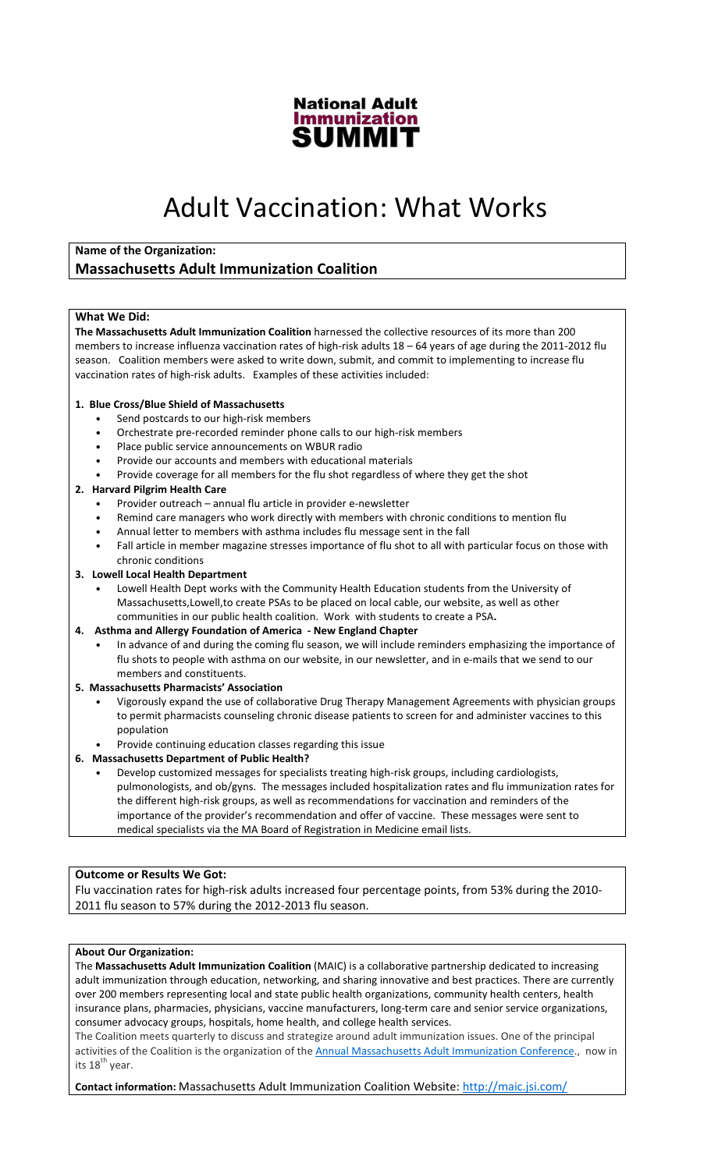

# Adult Vaccination: What Works

# Name of the Organization:

# Massachusetts Adult Immunization Coalition

#### What We Did:

The Massachusetts Adult Immunization Coalition harnessed the collective resources of its more than 200 members to increase influenza vaccination rates of high-risk adults 18 – 64 years of age during the 2011-2012 flu season. Coalition members were asked to write down, submit, and commit to implementing to increase flu vaccination rates of high-risk adults. Examples of these activities included:

#### 1. Blue Cross/Blue Shield of Massachusetts

- Send postcards to our high-risk members
- Orchestrate pre-recorded reminder phone calls to our high-risk members
- Place public service announcements on WBUR radio
- Provide our accounts and members with educational materials
- Provide coverage for all members for the flu shot regardless of where they get the shot

#### 2. Harvard Pilgrim Health Care

- Provider outreach annual flu article in provider e-newsletter
- Remind care managers who work directly with members with chronic conditions to mention flu
- Annual letter to members with asthma includes flu message sent in the fall
- Fall article in member magazine stresses importance of flu shot to all with particular focus on those with chronic conditions

#### 3. Lowell Local Health Department

• Lowell Health Dept works with the Community Health Education students from the University of Massachusetts,Lowell,to create PSAs to be placed on local cable, our website, as well as other communities in our public health coalition. Work with students to create a PSA.

#### 4. Asthma and Allergy Foundation of America - New England Chapter

• In advance of and during the coming flu season, we will include reminders emphasizing the importance of flu shots to people with asthma on our website, in our newsletter, and in e-mails that we send to our members and constituents.

#### 5. Massachusetts Pharmacists' Association

- Vigorously expand the use of collaborative Drug Therapy Management Agreements with physician groups to permit pharmacists counseling chronic disease patients to screen for and administer vaccines to this population
- Provide continuing education classes regarding this issue

### 6. Massachusetts Department of Public Health?

• Develop customized messages for specialists treating high-risk groups, including cardiologists, pulmonologists, and ob/gyns. The messages included hospitalization rates and flu immunization rates for the different high-risk groups, as well as recommendations for vaccination and reminders of the importance of the provider's recommendation and offer of vaccine. These messages were sent to medical specialists via the MA Board of Registration in Medicine email lists.

## Outcome or Results We Got:

Flu vaccination rates for high-risk adults increased four percentage points, from 53% during the 2010- 2011 flu season to 57% during the 2012-2013 flu season.

#### About Our Organization:

The Massachusetts Adult Immunization Coalition (MAIC) is a collaborative partnership dedicated to increasing adult immunization through education, networking, and sharing innovative and best practices. There are currently over 200 members representing local and state public health organizations, community health centers, health insurance plans, pharmacies, physicians, vaccine manufacturers, long-term care and senior service organizations, consumer advocacy groups, hospitals, home health, and college health services.

The Coalition meets quarterly to discuss and strategize around adult immunization issues. One of the principal activities of the Coalition is the organization of the Annual Massachusetts Adult Immunization Conference., now in its 18<sup>th</sup> year.

Contact information: Massachusetts Adult Immunization Coalition Website: http://maic.jsi.com/